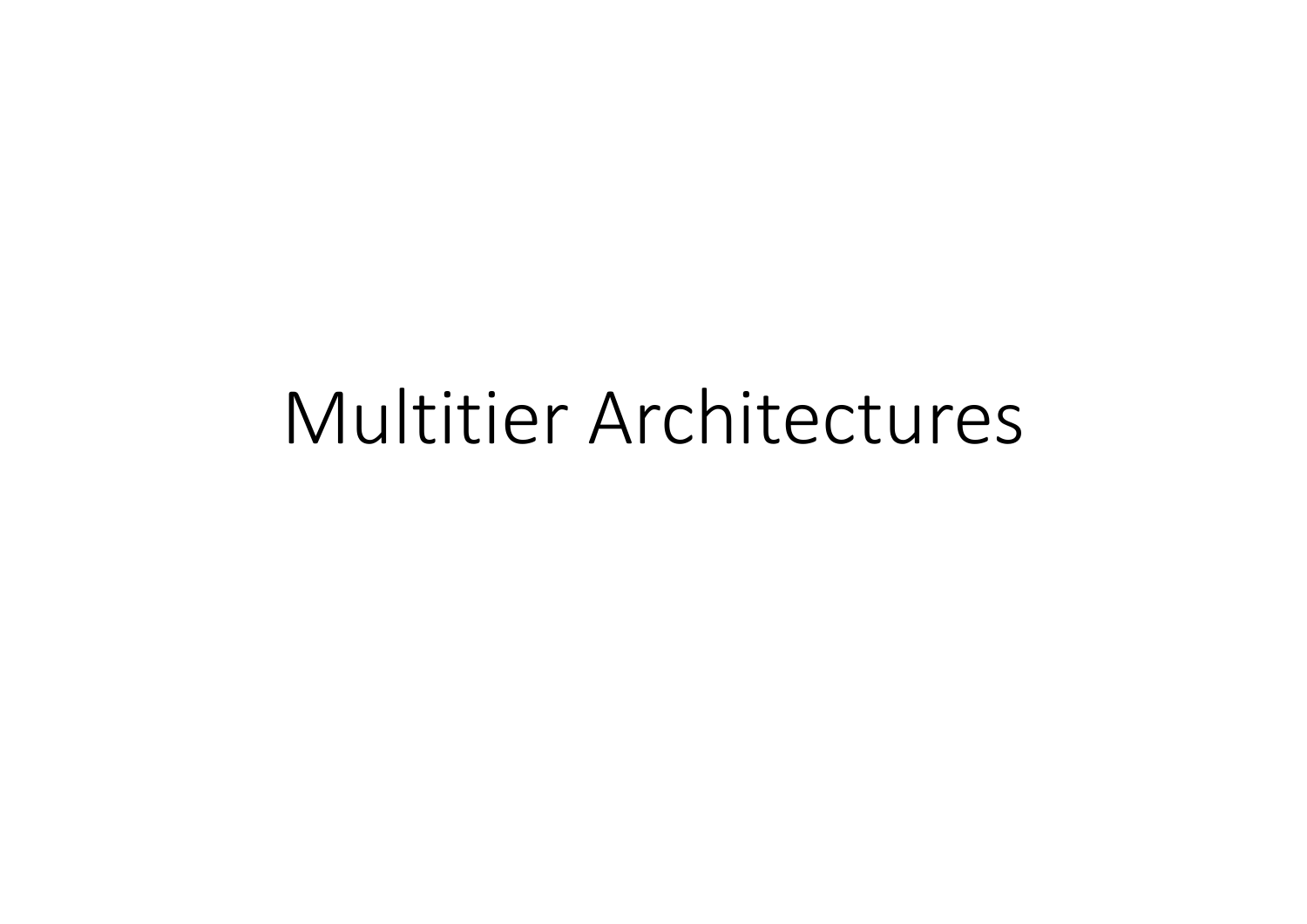# Multitier Architectures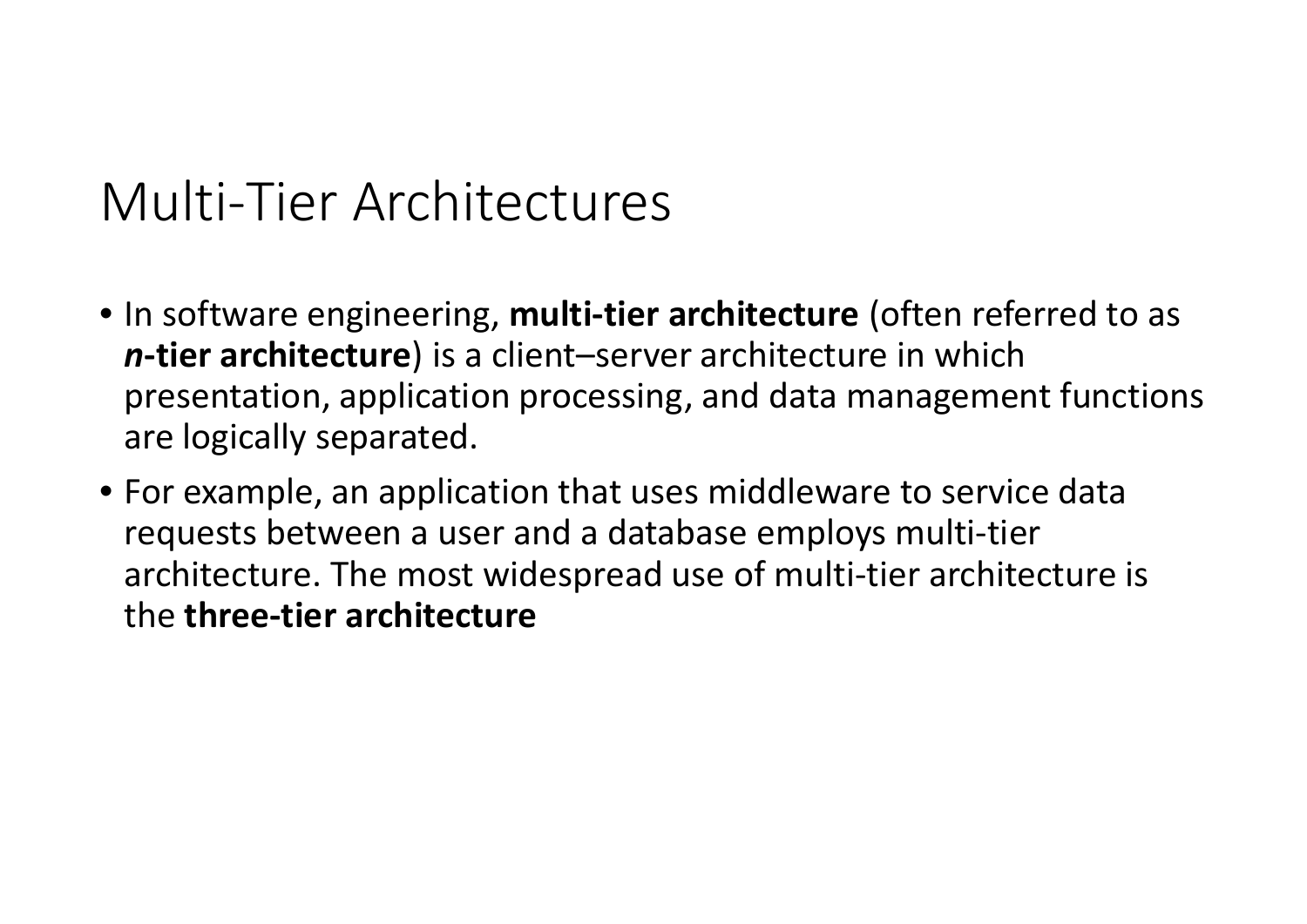## Multi‐Tier Architectures

- In software engineering, **multi‐tier architecture** (often referred to as *n***‐tier architecture**) is <sup>a</sup> client–server architecture in which presentation, application processing, and data management functions are logically separated.
- For example, an application that uses middleware to service data requests between <sup>a</sup> user and <sup>a</sup> database employs multi‐tier architecture. The most widespread use of multi‐tier architecture is the **three‐tier architecture**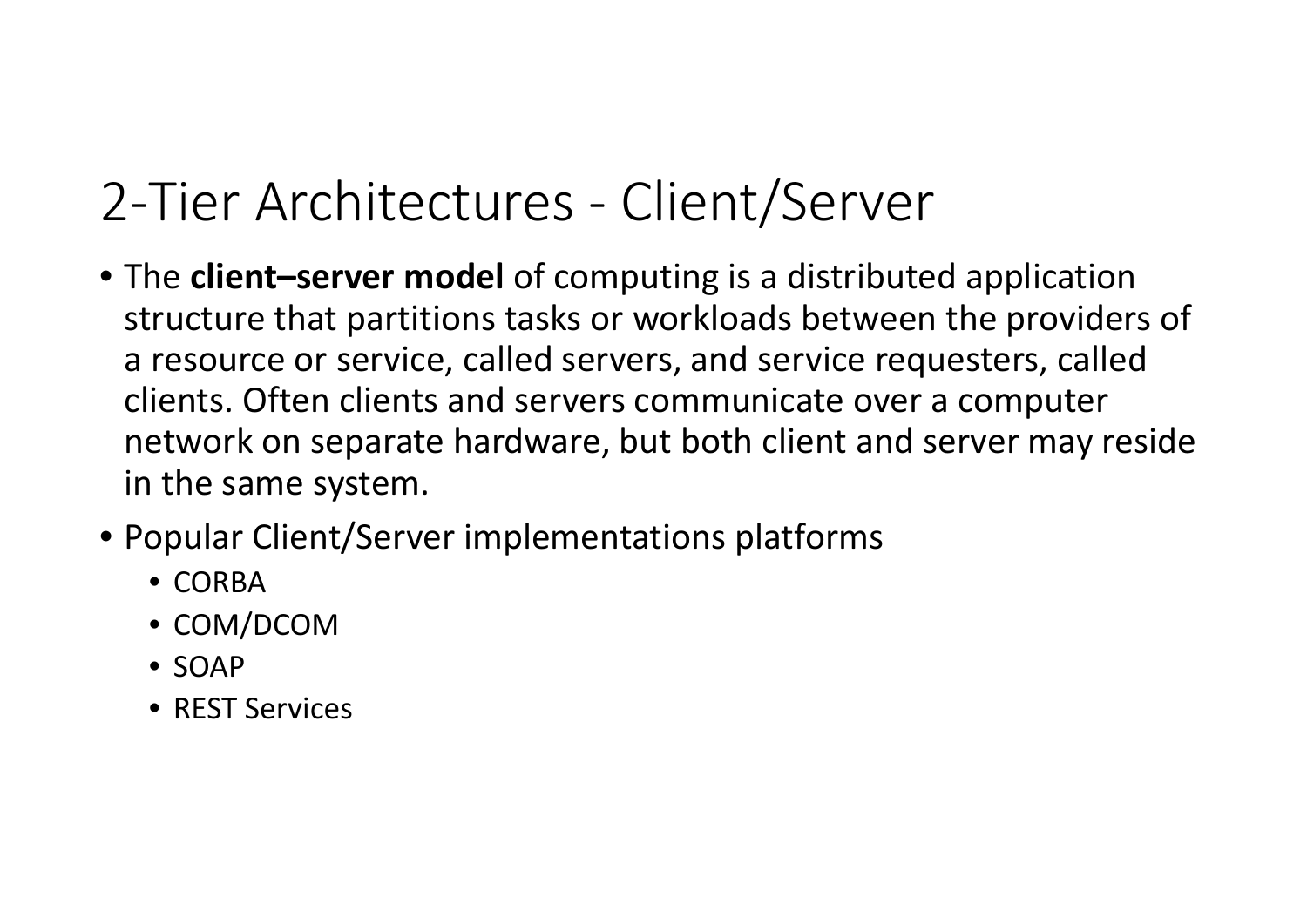## 2‐Tier Architectures ‐ Client/Server

- The **client–server model** of computing is <sup>a</sup> distributed application structure that partitions tasks or workloads between the providers of a resource or service, called servers, and service requesters, called clients. Often clients and servers communicate over <sup>a</sup> computer network on separate hardware, but both client and server may reside in the same system.
- Popular Client/Server implementations platforms
	- CORBA
	- COM/DCOM
	- SOAP
	- REST Services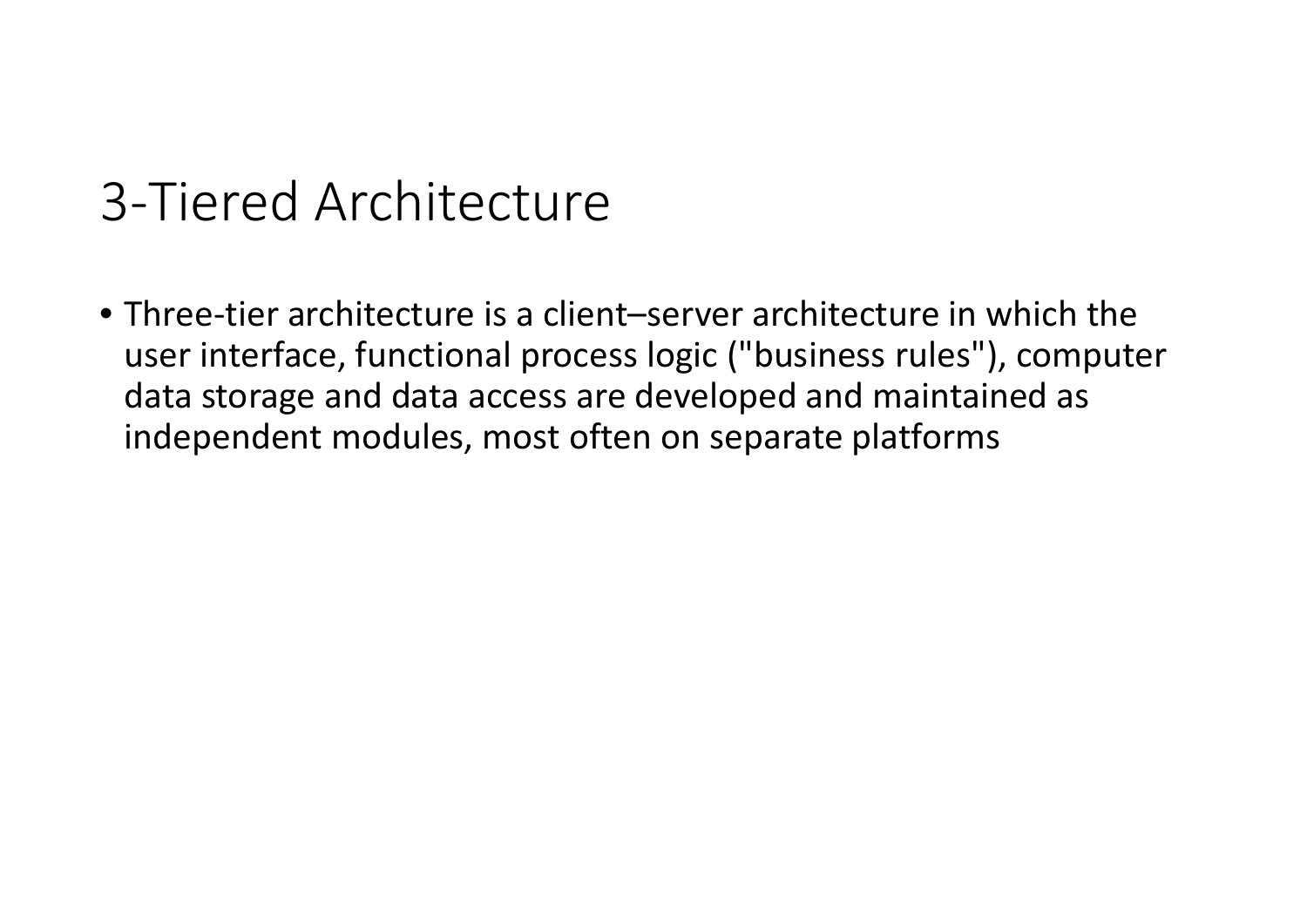## 3‐Tiered Architecture

• Three‐tier architecture is <sup>a</sup> client–server architecture in which the user interface, functional process logic ("business rules"), computer data storage and data access are developed and maintained as independent modules, most often on separate platforms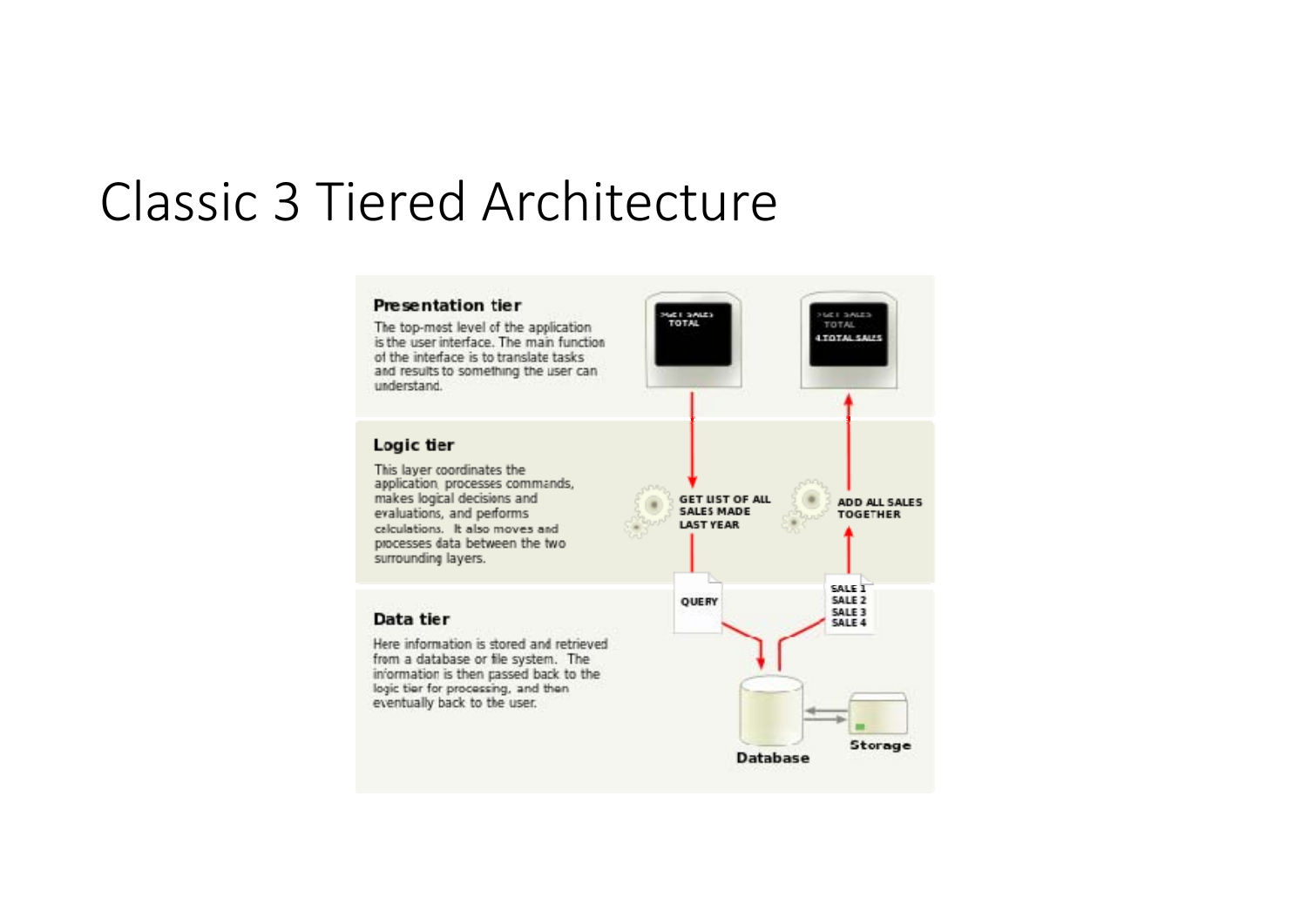#### Classic 3 Tiered Architecture

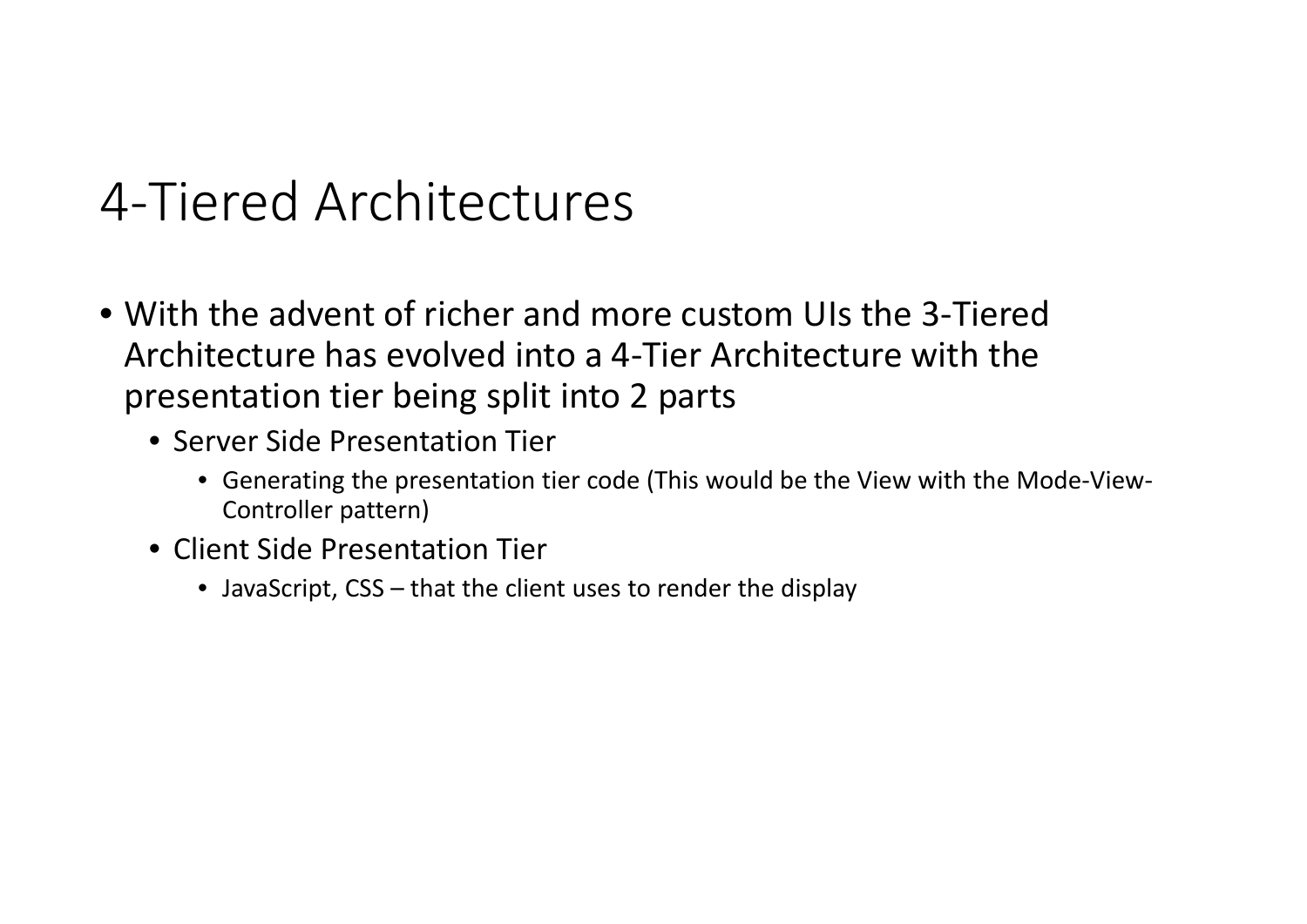## 4‐Tiered Architectures

- With the advent of richer and more custom UIs the 3‐Tiered Architecture has evolved into <sup>a</sup> 4‐Tier Architecture with the presentation tier being split into 2 parts
	- Server Side Presentation Tier
		- Generating the presentation tier code (This would be the View with the Mode‐View‐ Controller pattern)
	- Client Side Presentation Tier
		- JavaScript, CSS that the client uses to render the display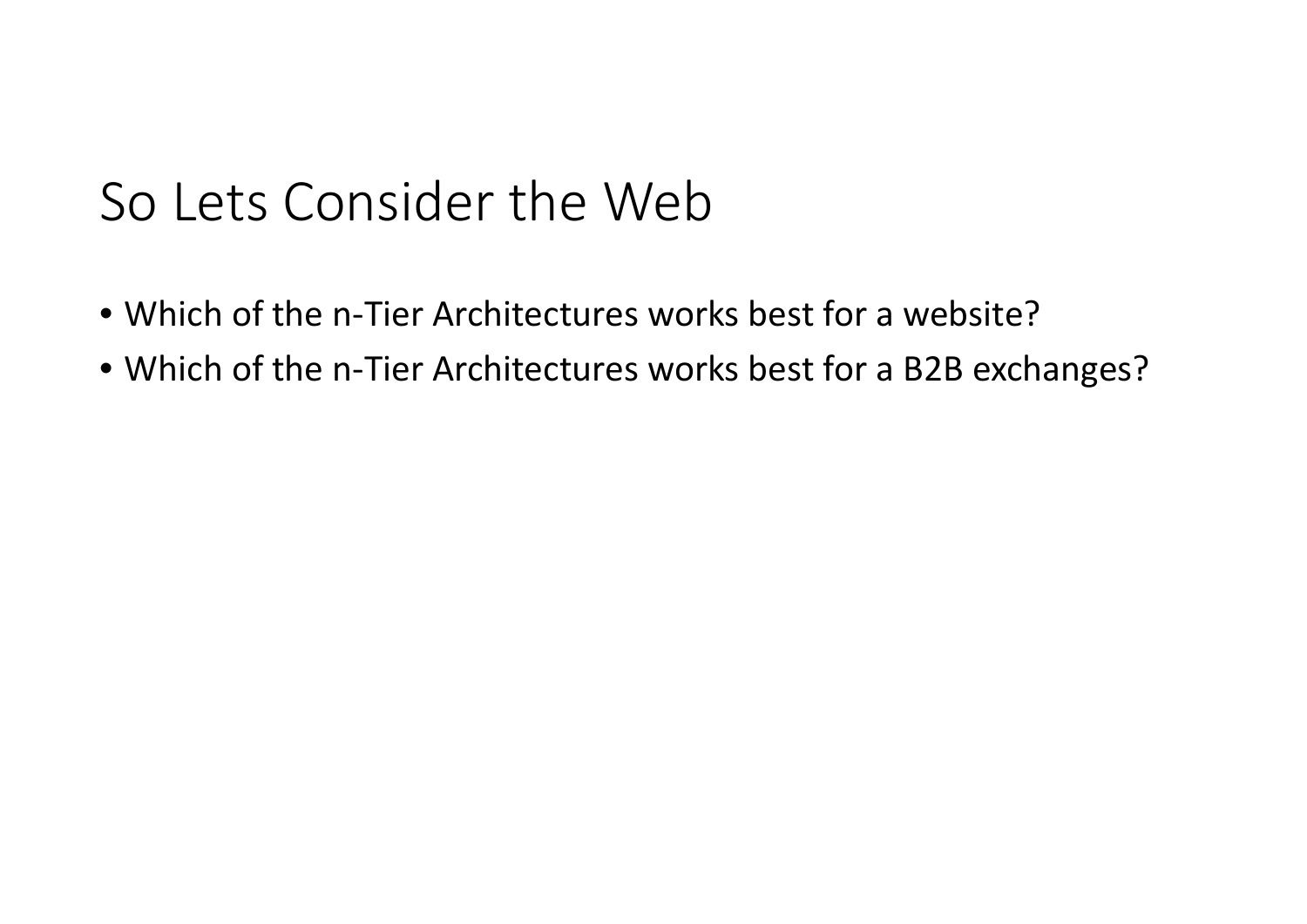## So Lets Consider the Web

- Which of the <sup>n</sup>‐Tier Architectures works best for <sup>a</sup> website?
- Which of the <sup>n</sup>‐Tier Architectures works best for <sup>a</sup> B2B exchanges?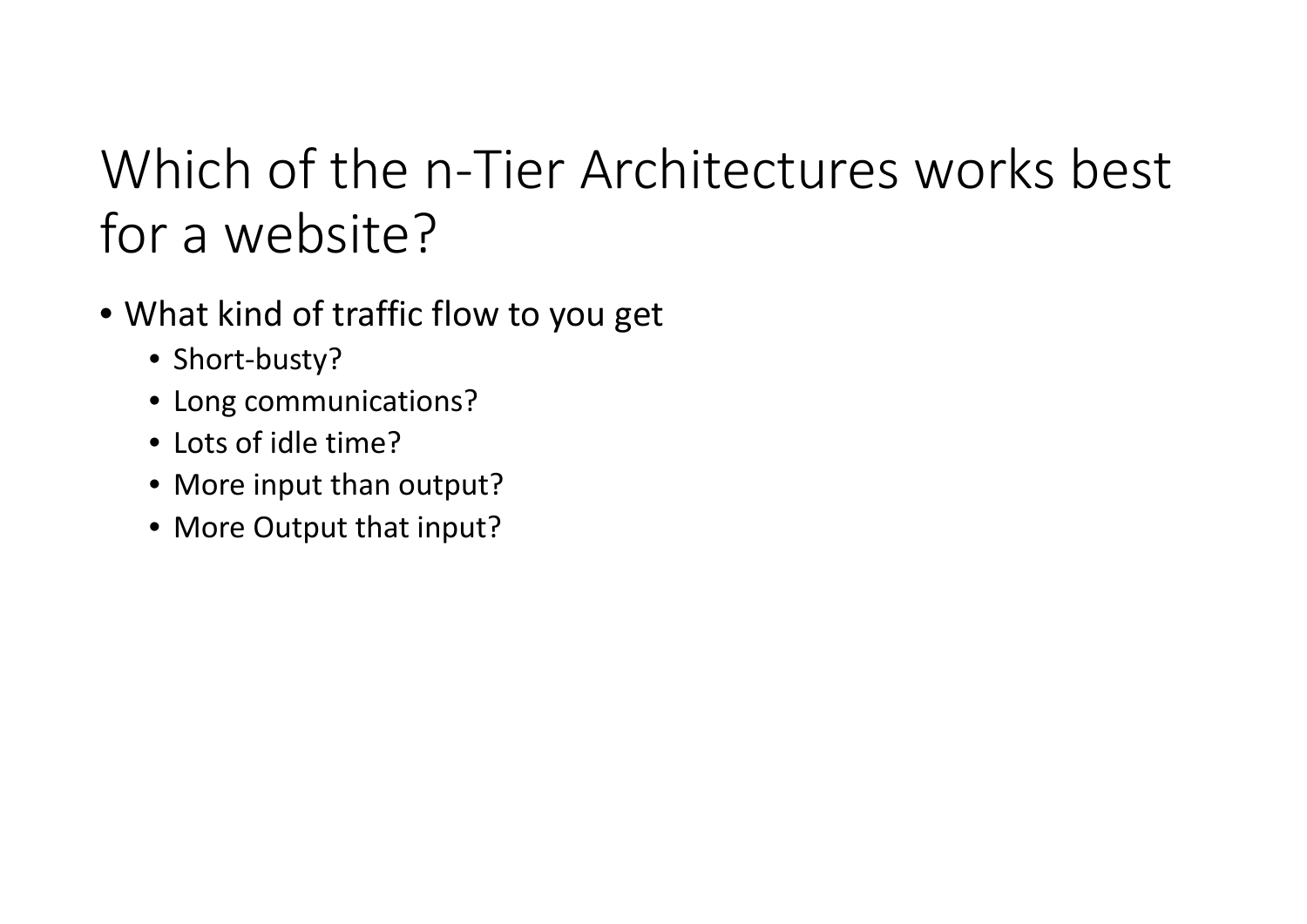## Which of the <sup>n</sup>‐Tier Architectures works best for a website?

- What kind of traffic flow to you get
	- Short‐busty?
	- Long communications?
	- Lots of idle time?
	- More input than output?
	- More Output that input?